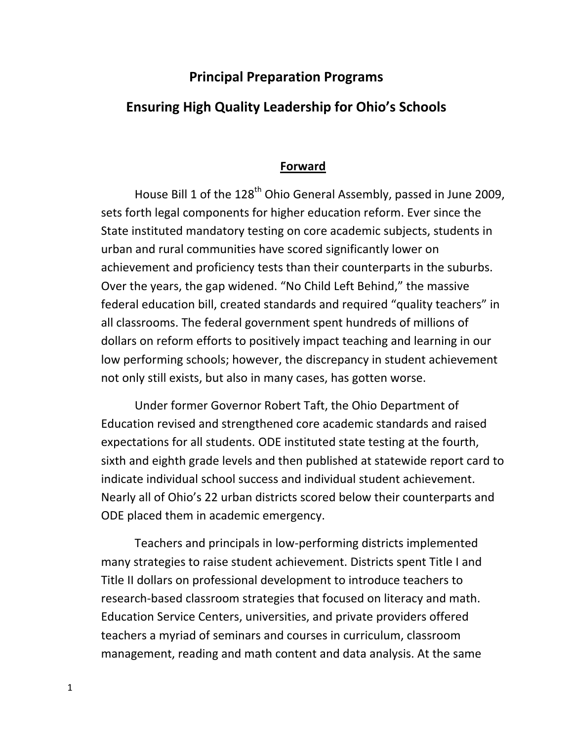### **Principal Preparation Programs**

#### **Ensuring High Quality Leadership for Ohio's Schools**

#### **Forward**

House Bill 1 of the 128<sup>th</sup> Ohio General Assembly, passed in June 2009, sets forth legal components for higher education reform. Ever since the State instituted mandatory testing on core academic subjects, students in urban and rural communities have scored significantly lower on achievement and proficiency tests than their counterparts in the suburbs. Over the years, the gap widened. "No Child Left Behind," the massive federal education bill, created standards and required "quality teachers" in all classrooms. The federal government spent hundreds of millions of dollars on reform efforts to positively impact teaching and learning in our low performing schools; however, the discrepancy in student achievement not only still exists, but also in many cases, has gotten worse.

Under former Governor Robert Taft, the Ohio Department of Education revised and strengthened core academic standards and raised expectations for all students. ODE instituted state testing at the fourth, sixth and eighth grade levels and then published at statewide report card to indicate individual school success and individual student achievement. Nearly all of Ohio's 22 urban districts scored below their counterparts and ODE placed them in academic emergency.

Teachers and principals in low‐performing districts implemented many strategies to raise student achievement. Districts spent Title I and Title II dollars on professional development to introduce teachers to research-based classroom strategies that focused on literacy and math. Education Service Centers, universities, and private providers offered teachers a myriad of seminars and courses in curriculum, classroom management, reading and math content and data analysis. At the same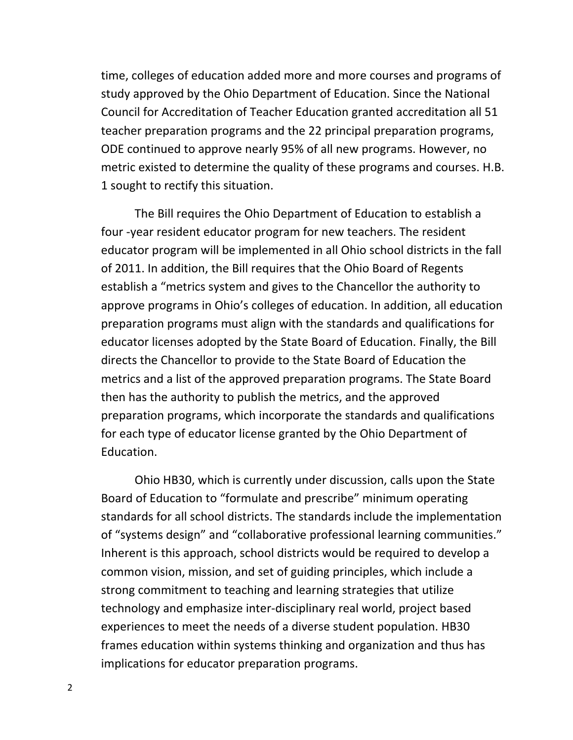time, colleges of education added more and more courses and programs of study approved by the Ohio Department of Education. Since the National Council for Accreditation of Teacher Education granted accreditation all 51 teacher preparation programs and the 22 principal preparation programs, ODE continued to approve nearly 95% of all new programs. However, no metric existed to determine the quality of these programs and courses. H.B. 1 sought to rectify this situation.

The Bill requires the Ohio Department of Education to establish a four ‐year resident educator program for new teachers. The resident educator program will be implemented in all Ohio school districts in the fall of 2011. In addition, the Bill requires that the Ohio Board of Regents establish a "metrics system and gives to the Chancellor the authority to approve programs in Ohio's colleges of education. In addition, all education preparation programs must align with the standards and qualifications for educator licenses adopted by the State Board of Education. Finally, the Bill directs the Chancellor to provide to the State Board of Education the metrics and a list of the approved preparation programs. The State Board then has the authority to publish the metrics, and the approved preparation programs, which incorporate the standards and qualifications for each type of educator license granted by the Ohio Department of Education.

Ohio HB30, which is currently under discussion, calls upon the State Board of Education to "formulate and prescribe" minimum operating standards for all school districts. The standards include the implementation of "systems design" and "collaborative professional learning communities." Inherent is this approach, school districts would be required to develop a common vision, mission, and set of guiding principles, which include a strong commitment to teaching and learning strategies that utilize technology and emphasize inter‐disciplinary real world, project based experiences to meet the needs of a diverse student population. HB30 frames education within systems thinking and organization and thus has implications for educator preparation programs.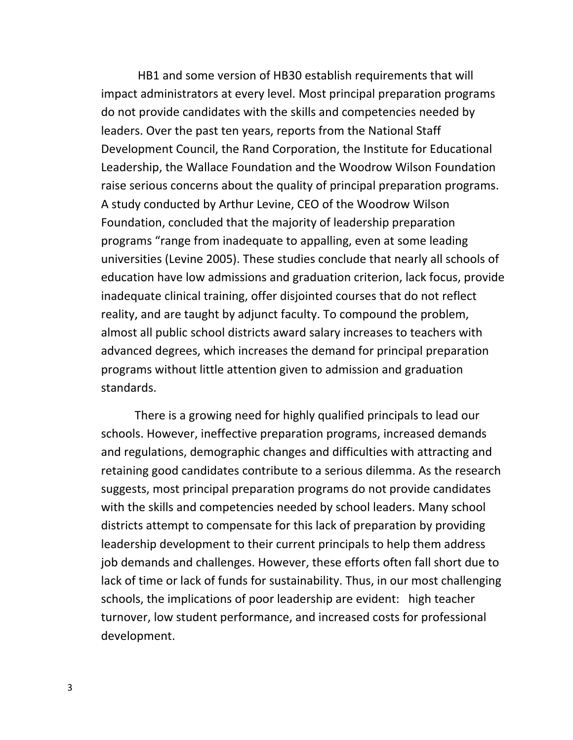HB1 and some version of HB30 establish requirements that will impact administrators at every level. Most principal preparation programs do not provide candidates with the skills and competencies needed by leaders. Over the past ten years, reports from the National Staff Development Council, the Rand Corporation, the Institute for Educational Leadership, the Wallace Foundation and the Woodrow Wilson Foundation raise serious concerns about the quality of principal preparation programs. A study conducted by Arthur Levine, CEO of the Woodrow Wilson Foundation, concluded that the majority of leadership preparation programs "range from inadequate to appalling, even at some leading universities (Levine 2005). These studies conclude that nearly all schools of education have low admissions and graduation criterion, lack focus, provide inadequate clinical training, offer disjointed courses that do not reflect reality, and are taught by adjunct faculty. To compound the problem, almost all public school districts award salary increases to teachers with advanced degrees, which increases the demand for principal preparation programs without little attention given to admission and graduation standards.

There is a growing need for highly qualified principals to lead our schools. However, ineffective preparation programs, increased demands and regulations, demographic changes and difficulties with attracting and retaining good candidates contribute to a serious dilemma. As the research suggests, most principal preparation programs do not provide candidates with the skills and competencies needed by school leaders. Many school districts attempt to compensate for this lack of preparation by providing leadership development to their current principals to help them address job demands and challenges. However, these efforts often fall short due to lack of time or lack of funds for sustainability. Thus, in our most challenging schools, the implications of poor leadership are evident: high teacher turnover, low student performance, and increased costs for professional development.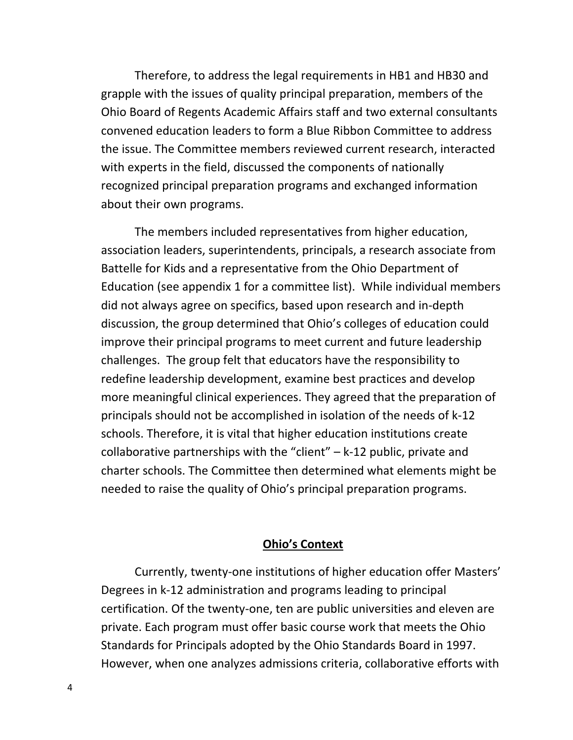Therefore, to address the legal requirements in HB1 and HB30 and grapple with the issues of quality principal preparation, members of the Ohio Board of Regents Academic Affairs staff and two external consultants convened education leaders to form a Blue Ribbon Committee to address the issue. The Committee members reviewed current research, interacted with experts in the field, discussed the components of nationally recognized principal preparation programs and exchanged information about their own programs.

The members included representatives from higher education, association leaders, superintendents, principals, a research associate from Battelle for Kids and a representative from the Ohio Department of Education (see appendix 1 for a committee list). While individual members did not always agree on specifics, based upon research and in‐depth discussion, the group determined that Ohio's colleges of education could improve their principal programs to meet current and future leadership challenges. The group felt that educators have the responsibility to redefine leadership development, examine best practices and develop more meaningful clinical experiences. They agreed that the preparation of principals should not be accomplished in isolation of the needs of k‐12 schools. Therefore, it is vital that higher education institutions create collaborative partnerships with the "client"  $-$  k-12 public, private and charter schools. The Committee then determined what elements might be needed to raise the quality of Ohio's principal preparation programs.

#### **Ohio's Context**

Currently, twenty‐one institutions of higher education offer Masters' Degrees in k‐12 administration and programs leading to principal certification. Of the twenty‐one, ten are public universities and eleven are private. Each program must offer basic course work that meets the Ohio Standards for Principals adopted by the Ohio Standards Board in 1997. However, when one analyzes admissions criteria, collaborative efforts with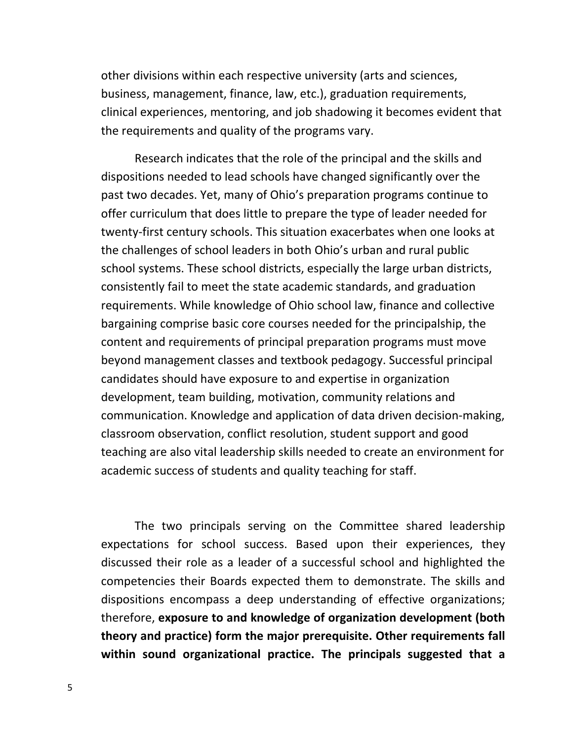other divisions within each respective university (arts and sciences, business, management, finance, law, etc.), graduation requirements, clinical experiences, mentoring, and job shadowing it becomes evident that the requirements and quality of the programs vary.

Research indicates that the role of the principal and the skills and dispositions needed to lead schools have changed significantly over the past two decades. Yet, many of Ohio's preparation programs continue to offer curriculum that does little to prepare the type of leader needed for twenty‐first century schools. This situation exacerbates when one looks at the challenges of school leaders in both Ohio's urban and rural public school systems. These school districts, especially the large urban districts, consistently fail to meet the state academic standards, and graduation requirements. While knowledge of Ohio school law, finance and collective bargaining comprise basic core courses needed for the principalship, the content and requirements of principal preparation programs must move beyond management classes and textbook pedagogy. Successful principal candidates should have exposure to and expertise in organization development, team building, motivation, community relations and communication. Knowledge and application of data driven decision‐making, classroom observation, conflict resolution, student support and good teaching are also vital leadership skills needed to create an environment for academic success of students and quality teaching for staff.

The two principals serving on the Committee shared leadership expectations for school success. Based upon their experiences, they discussed their role as a leader of a successful school and highlighted the competencies their Boards expected them to demonstrate. The skills and dispositions encompass a deep understanding of effective organizations; therefore, **exposure to and knowledge of organization development (both theory and practice) form the major prerequisite. Other requirements fall within sound organizational practice. The principals suggested that a**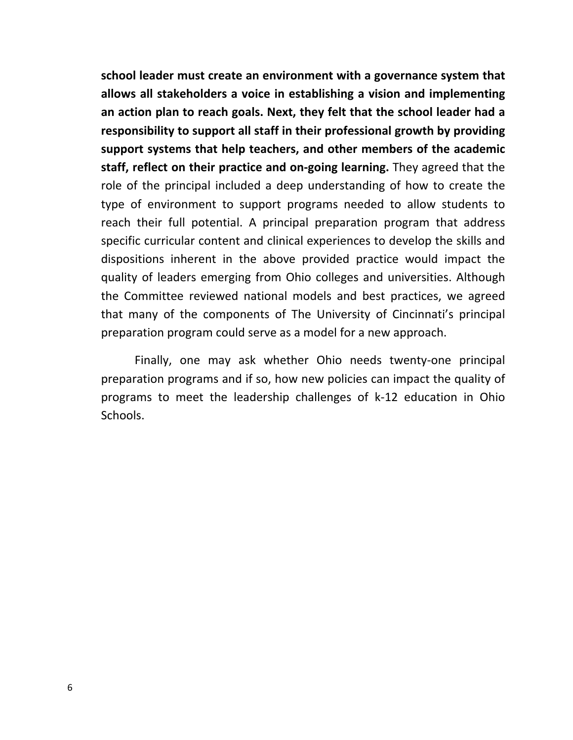**school leader must create an environment with a governance system that allows all stakeholders a voice in establishing a vision and implementing an action plan to reach goals. Next, they felt that the school leader had a responsibility to support all staff in their professional growth by providing support systems that help teachers, and other members of the academic staff, reflect on their practice and on‐going learning.** They agreed that the role of the principal included a deep understanding of how to create the type of environment to support programs needed to allow students to reach their full potential. A principal preparation program that address specific curricular content and clinical experiences to develop the skills and dispositions inherent in the above provided practice would impact the quality of leaders emerging from Ohio colleges and universities. Although the Committee reviewed national models and best practices, we agreed that many of the components of The University of Cincinnati's principal preparation program could serve as a model for a new approach.

Finally, one may ask whether Ohio needs twenty‐one principal preparation programs and if so, how new policies can impact the quality of programs to meet the leadership challenges of k‐12 education in Ohio Schools.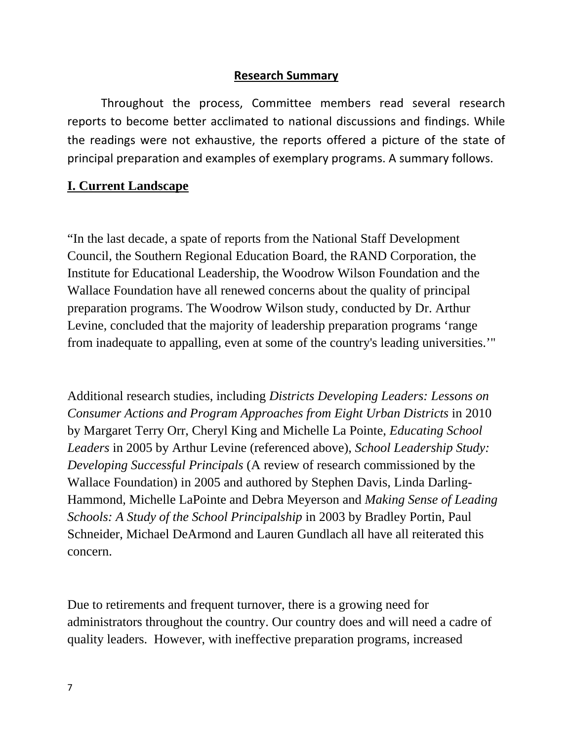#### **Research Summary**

Throughout the process, Committee members read several research reports to become better acclimated to national discussions and findings. While the readings were not exhaustive, the reports offered a picture of the state of principal preparation and examples of exemplary programs. A summary follows.

#### **I. Current Landscape**

"In the last decade, a spate of reports from the National Staff Development Council, the Southern Regional Education Board, the RAND Corporation, the Institute for Educational Leadership, the Woodrow Wilson Foundation and the Wallace Foundation have all renewed concerns about the quality of principal preparation programs. The Woodrow Wilson study, conducted by Dr. Arthur Levine, concluded that the majority of leadership preparation programs 'range from inadequate to appalling, even at some of the country's leading universities.'"

Additional research studies, including *Districts Developing Leaders: Lessons on Consumer Actions and Program Approaches from Eight Urban Districts* in 2010 by Margaret Terry Orr, Cheryl King and Michelle La Pointe, *Educating School Leaders* in 2005 by Arthur Levine (referenced above), *School Leadership Study: Developing Successful Principals* (A review of research commissioned by the Wallace Foundation) in 2005 and authored by Stephen Davis, Linda Darling-Hammond, Michelle LaPointe and Debra Meyerson and *Making Sense of Leading Schools: A Study of the School Principalship* in 2003 by Bradley Portin, Paul Schneider, Michael DeArmond and Lauren Gundlach all have all reiterated this concern.

Due to retirements and frequent turnover, there is a growing need for administrators throughout the country. Our country does and will need a cadre of quality leaders. However, with ineffective preparation programs, increased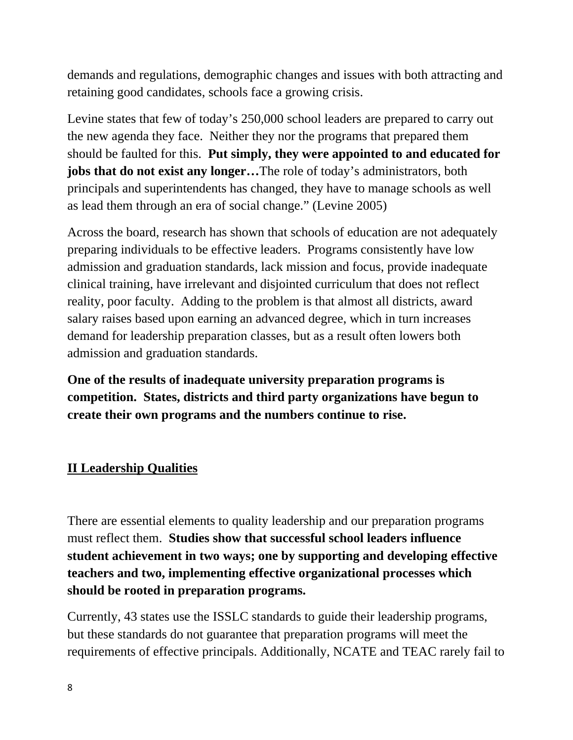demands and regulations, demographic changes and issues with both attracting and retaining good candidates, schools face a growing crisis.

Levine states that few of today's 250,000 school leaders are prepared to carry out the new agenda they face. Neither they nor the programs that prepared them should be faulted for this. **Put simply, they were appointed to and educated for jobs that do not exist any longer…**The role of today's administrators, both principals and superintendents has changed, they have to manage schools as well as lead them through an era of social change." (Levine 2005)

Across the board, research has shown that schools of education are not adequately preparing individuals to be effective leaders. Programs consistently have low admission and graduation standards, lack mission and focus, provide inadequate clinical training, have irrelevant and disjointed curriculum that does not reflect reality, poor faculty. Adding to the problem is that almost all districts, award salary raises based upon earning an advanced degree, which in turn increases demand for leadership preparation classes, but as a result often lowers both admission and graduation standards.

**One of the results of inadequate university preparation programs is competition. States, districts and third party organizations have begun to create their own programs and the numbers continue to rise.** 

# **II Leadership Qualities**

There are essential elements to quality leadership and our preparation programs must reflect them. **Studies show that successful school leaders influence student achievement in two ways; one by supporting and developing effective teachers and two, implementing effective organizational processes which should be rooted in preparation programs.**

Currently, 43 states use the ISSLC standards to guide their leadership programs, but these standards do not guarantee that preparation programs will meet the requirements of effective principals. Additionally, NCATE and TEAC rarely fail to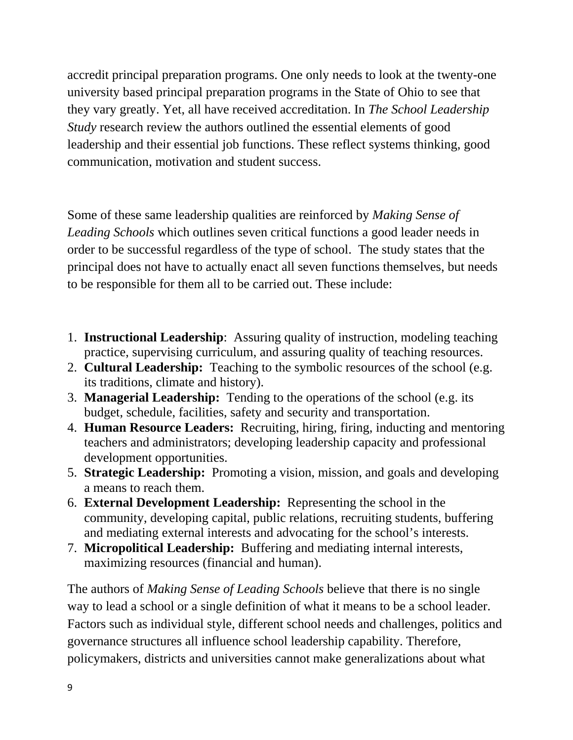accredit principal preparation programs. One only needs to look at the twenty-one university based principal preparation programs in the State of Ohio to see that they vary greatly. Yet, all have received accreditation. In *The School Leadership Study* research review the authors outlined the essential elements of good leadership and their essential job functions. These reflect systems thinking, good communication, motivation and student success.

Some of these same leadership qualities are reinforced by *Making Sense of Leading Schools* which outlines seven critical functions a good leader needs in order to be successful regardless of the type of school. The study states that the principal does not have to actually enact all seven functions themselves, but needs to be responsible for them all to be carried out. These include:

- 1. **Instructional Leadership**: Assuring quality of instruction, modeling teaching practice, supervising curriculum, and assuring quality of teaching resources.
- 2. **Cultural Leadership:** Teaching to the symbolic resources of the school (e.g. its traditions, climate and history).
- 3. **Managerial Leadership:** Tending to the operations of the school (e.g. its budget, schedule, facilities, safety and security and transportation.
- 4. **Human Resource Leaders:** Recruiting, hiring, firing, inducting and mentoring teachers and administrators; developing leadership capacity and professional development opportunities.
- 5. **Strategic Leadership:** Promoting a vision, mission, and goals and developing a means to reach them.
- 6. **External Development Leadership:** Representing the school in the community, developing capital, public relations, recruiting students, buffering and mediating external interests and advocating for the school's interests.
- 7. **Micropolitical Leadership:** Buffering and mediating internal interests, maximizing resources (financial and human).

The authors of *Making Sense of Leading Schools* believe that there is no single way to lead a school or a single definition of what it means to be a school leader. Factors such as individual style, different school needs and challenges, politics and governance structures all influence school leadership capability. Therefore, policymakers, districts and universities cannot make generalizations about what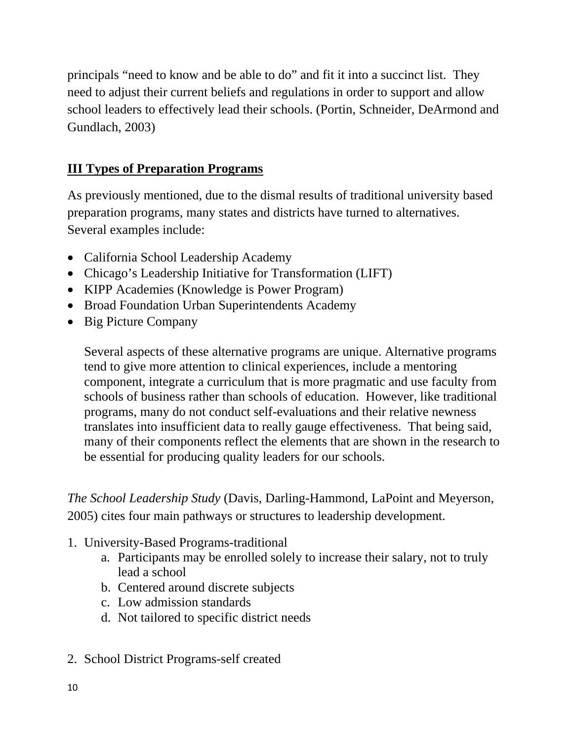principals "need to know and be able to do" and fit it into a succinct list. They need to adjust their current beliefs and regulations in order to support and allow school leaders to effectively lead their schools. (Portin, Schneider, DeArmond and Gundlach, 2003)

### **III Types of Preparation Programs**

As previously mentioned, due to the dismal results of traditional university based preparation programs, many states and districts have turned to alternatives. Several examples include:

- California School Leadership Academy
- Chicago's Leadership Initiative for Transformation (LIFT)
- KIPP Academies (Knowledge is Power Program)
- Broad Foundation Urban Superintendents Academy
- Big Picture Company

Several aspects of these alternative programs are unique. Alternative programs tend to give more attention to clinical experiences, include a mentoring component, integrate a curriculum that is more pragmatic and use faculty from schools of business rather than schools of education. However, like traditional programs, many do not conduct self-evaluations and their relative newness translates into insufficient data to really gauge effectiveness. That being said, many of their components reflect the elements that are shown in the research to be essential for producing quality leaders for our schools.

*The School Leadership Study* (Davis, Darling-Hammond, LaPoint and Meyerson, 2005) cites four main pathways or structures to leadership development.

- 1. University-Based Programs-traditional
	- a. Participants may be enrolled solely to increase their salary, not to truly lead a school
	- b. Centered around discrete subjects
	- c. Low admission standards
	- d. Not tailored to specific district needs
- 2. School District Programs-self created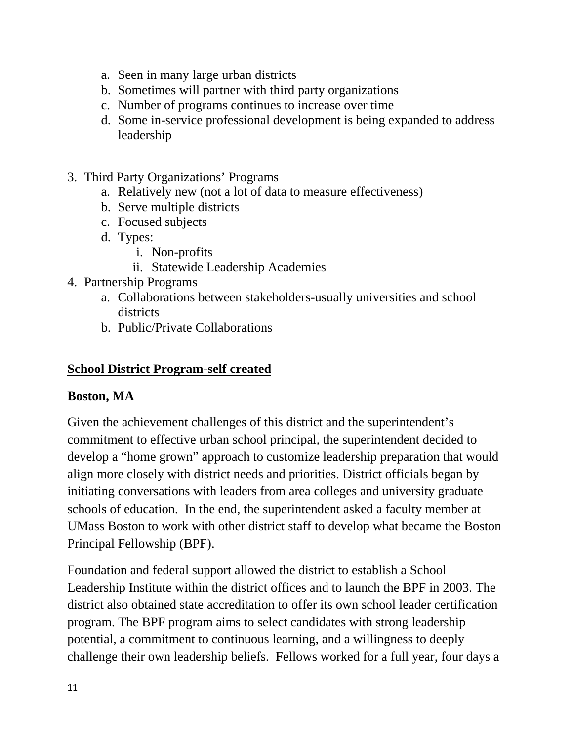- a. Seen in many large urban districts
- b. Sometimes will partner with third party organizations
- c. Number of programs continues to increase over time
- d. Some in-service professional development is being expanded to address leadership
- 3. Third Party Organizations' Programs
	- a. Relatively new (not a lot of data to measure effectiveness)
	- b. Serve multiple districts
	- c. Focused subjects
	- d. Types:
		- i. Non-profits
		- ii. Statewide Leadership Academies
- 4. Partnership Programs
	- a. Collaborations between stakeholders-usually universities and school districts
	- b. Public/Private Collaborations

# **School District Program-self created**

# **Boston, MA**

Given the achievement challenges of this district and the superintendent's commitment to effective urban school principal, the superintendent decided to develop a "home grown" approach to customize leadership preparation that would align more closely with district needs and priorities. District officials began by initiating conversations with leaders from area colleges and university graduate schools of education. In the end, the superintendent asked a faculty member at UMass Boston to work with other district staff to develop what became the Boston Principal Fellowship (BPF).

Foundation and federal support allowed the district to establish a School Leadership Institute within the district offices and to launch the BPF in 2003. The district also obtained state accreditation to offer its own school leader certification program. The BPF program aims to select candidates with strong leadership potential, a commitment to continuous learning, and a willingness to deeply challenge their own leadership beliefs. Fellows worked for a full year, four days a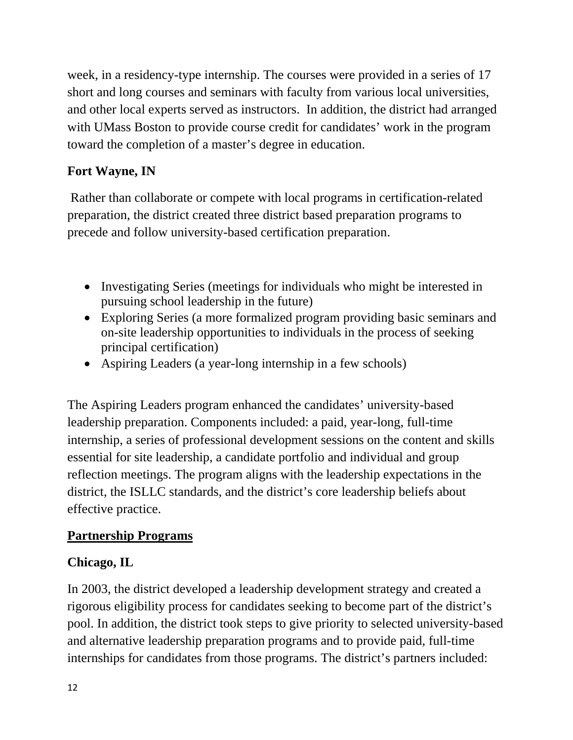week, in a residency-type internship. The courses were provided in a series of 17 short and long courses and seminars with faculty from various local universities, and other local experts served as instructors. In addition, the district had arranged with UMass Boston to provide course credit for candidates' work in the program toward the completion of a master's degree in education.

# **Fort Wayne, IN**

 Rather than collaborate or compete with local programs in certification-related preparation, the district created three district based preparation programs to precede and follow university-based certification preparation.

- Investigating Series (meetings for individuals who might be interested in pursuing school leadership in the future)
- Exploring Series (a more formalized program providing basic seminars and on-site leadership opportunities to individuals in the process of seeking principal certification)
- Aspiring Leaders (a year-long internship in a few schools)

The Aspiring Leaders program enhanced the candidates' university-based leadership preparation. Components included: a paid, year-long, full-time internship, a series of professional development sessions on the content and skills essential for site leadership, a candidate portfolio and individual and group reflection meetings. The program aligns with the leadership expectations in the district, the ISLLC standards, and the district's core leadership beliefs about effective practice.

### **Partnership Programs**

### **Chicago, IL**

In 2003, the district developed a leadership development strategy and created a rigorous eligibility process for candidates seeking to become part of the district's pool. In addition, the district took steps to give priority to selected university-based and alternative leadership preparation programs and to provide paid, full-time internships for candidates from those programs. The district's partners included: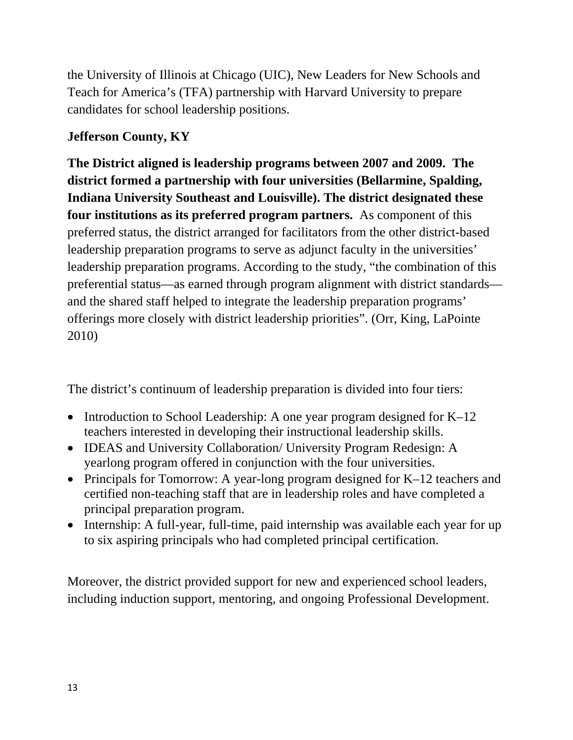the University of Illinois at Chicago (UIC), New Leaders for New Schools and Teach for America's (TFA) partnership with Harvard University to prepare candidates for school leadership positions.

# **Jefferson County, KY**

**The District aligned is leadership programs between 2007 and 2009. The district formed a partnership with four universities (Bellarmine, Spalding, Indiana University Southeast and Louisville). The district designated these four institutions as its preferred program partners.** As component of this preferred status, the district arranged for facilitators from the other district-based leadership preparation programs to serve as adjunct faculty in the universities' leadership preparation programs. According to the study, "the combination of this preferential status—as earned through program alignment with district standards and the shared staff helped to integrate the leadership preparation programs' offerings more closely with district leadership priorities". (Orr, King, LaPointe 2010)

The district's continuum of leadership preparation is divided into four tiers:

- Introduction to School Leadership: A one year program designed for K–12 teachers interested in developing their instructional leadership skills.
- IDEAS and University Collaboration/ University Program Redesign: A yearlong program offered in conjunction with the four universities.
- Principals for Tomorrow: A year-long program designed for K–12 teachers and certified non-teaching staff that are in leadership roles and have completed a principal preparation program.
- Internship: A full-year, full-time, paid internship was available each year for up to six aspiring principals who had completed principal certification.

Moreover, the district provided support for new and experienced school leaders, including induction support, mentoring, and ongoing Professional Development.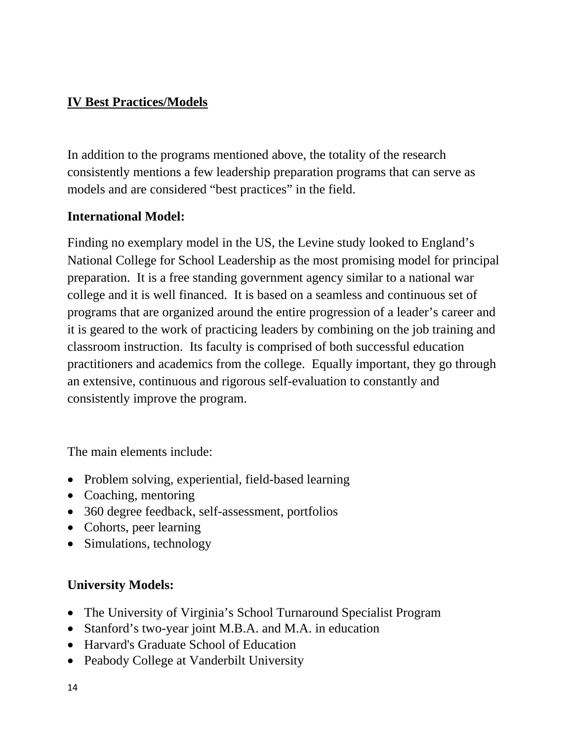### **IV Best Practices/Models**

In addition to the programs mentioned above, the totality of the research consistently mentions a few leadership preparation programs that can serve as models and are considered "best practices" in the field.

#### **International Model:**

Finding no exemplary model in the US, the Levine study looked to England's National College for School Leadership as the most promising model for principal preparation. It is a free standing government agency similar to a national war college and it is well financed. It is based on a seamless and continuous set of programs that are organized around the entire progression of a leader's career and it is geared to the work of practicing leaders by combining on the job training and classroom instruction. Its faculty is comprised of both successful education practitioners and academics from the college. Equally important, they go through an extensive, continuous and rigorous self-evaluation to constantly and consistently improve the program.

The main elements include:

- Problem solving, experiential, field-based learning
- Coaching, mentoring
- 360 degree feedback, self-assessment, portfolios
- Cohorts, peer learning
- Simulations, technology

# **University Models:**

- The University of Virginia's School Turnaround Specialist Program
- Stanford's two-year joint M.B.A. and M.A. in education
- Harvard's Graduate School of Education
- Peabody College at Vanderbilt University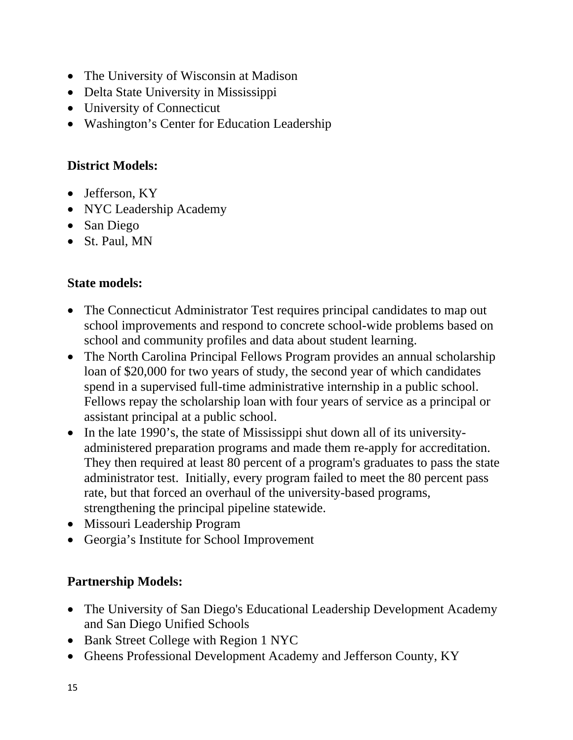- The University of Wisconsin at Madison
- Delta State University in Mississippi
- University of Connecticut
- Washington's Center for Education Leadership

# **District Models:**

- Jefferson, KY
- NYC Leadership Academy
- San Diego
- St. Paul, MN

### **State models:**

- The Connecticut Administrator Test requires principal candidates to map out school improvements and respond to concrete school-wide problems based on school and community profiles and data about student learning.
- The North Carolina Principal Fellows Program provides an annual scholarship loan of \$20,000 for two years of study, the second year of which candidates spend in a supervised full-time administrative internship in a public school. Fellows repay the scholarship loan with four years of service as a principal or assistant principal at a public school.
- In the late 1990's, the state of Mississippi shut down all of its universityadministered preparation programs and made them re-apply for accreditation. They then required at least 80 percent of a program's graduates to pass the state administrator test. Initially, every program failed to meet the 80 percent pass rate, but that forced an overhaul of the university-based programs, strengthening the principal pipeline statewide.
- Missouri Leadership Program
- Georgia's Institute for School Improvement

# **Partnership Models:**

- The University of San Diego's Educational Leadership Development Academy and San Diego Unified Schools
- Bank Street College with Region 1 NYC
- Gheens Professional Development Academy and Jefferson County, KY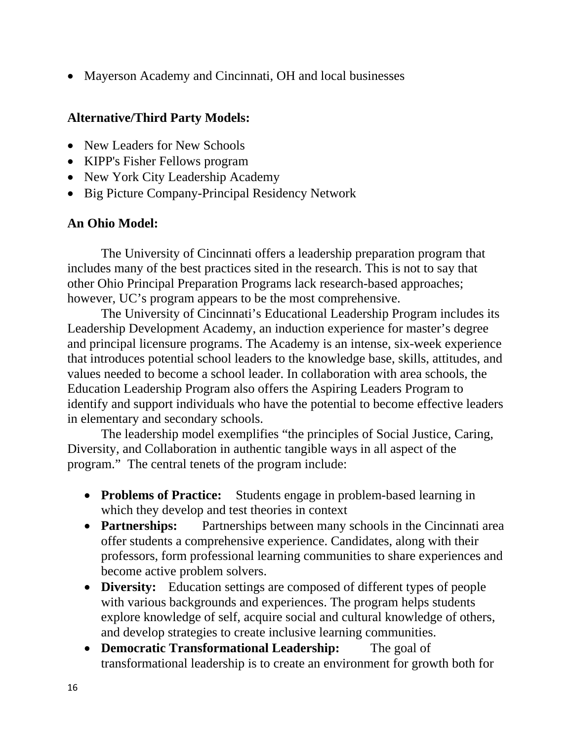• Mayerson Academy and Cincinnati, OH and local businesses

#### **Alternative/Third Party Models:**

- New Leaders for New Schools
- KIPP's Fisher Fellows program
- New York City Leadership Academy
- Big Picture Company-Principal Residency Network

### **An Ohio Model:**

The University of Cincinnati offers a leadership preparation program that includes many of the best practices sited in the research. This is not to say that other Ohio Principal Preparation Programs lack research-based approaches; however, UC's program appears to be the most comprehensive.

 The University of Cincinnati's Educational Leadership Program includes its Leadership Development Academy, an induction experience for master's degree and principal licensure programs. The Academy is an intense, six-week experience that introduces potential school leaders to the knowledge base, skills, attitudes, and values needed to become a school leader. In collaboration with area schools, the Education Leadership Program also offers the Aspiring Leaders Program to identify and support individuals who have the potential to become effective leaders in elementary and secondary schools.

 The leadership model exemplifies "the principles of Social Justice, Caring, Diversity, and Collaboration in authentic tangible ways in all aspect of the program." The central tenets of the program include:

- **Problems of Practice:** Students engage in problem-based learning in which they develop and test theories in context
- **Partnerships:** Partnerships between many schools in the Cincinnati area offer students a comprehensive experience. Candidates, along with their professors, form professional learning communities to share experiences and become active problem solvers.
- **Diversity:** Education settings are composed of different types of people with various backgrounds and experiences. The program helps students explore knowledge of self, acquire social and cultural knowledge of others, and develop strategies to create inclusive learning communities.
- **Democratic Transformational Leadership:** The goal of transformational leadership is to create an environment for growth both for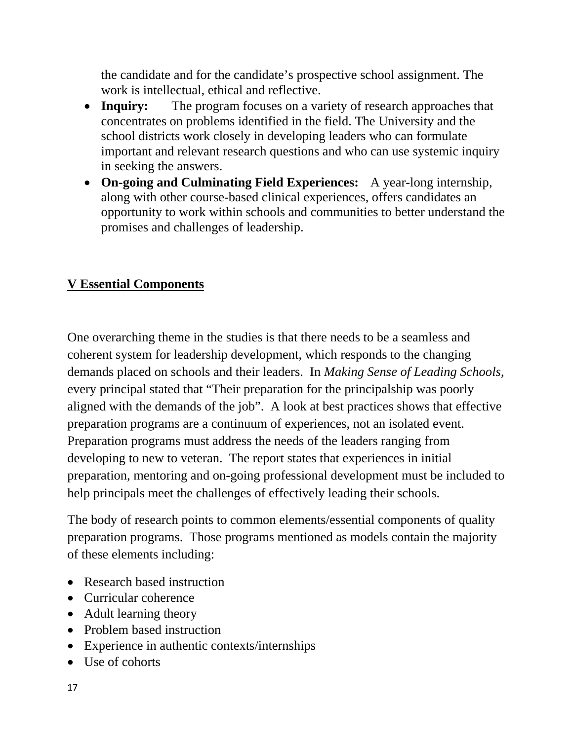the candidate and for the candidate's prospective school assignment. The work is intellectual, ethical and reflective.

- **Inquiry:** The program focuses on a variety of research approaches that concentrates on problems identified in the field. The University and the school districts work closely in developing leaders who can formulate important and relevant research questions and who can use systemic inquiry in seeking the answers.
- **On-going and Culminating Field Experiences:** A year-long internship, along with other course-based clinical experiences, offers candidates an opportunity to work within schools and communities to better understand the promises and challenges of leadership.

# **V Essential Components**

One overarching theme in the studies is that there needs to be a seamless and coherent system for leadership development, which responds to the changing demands placed on schools and their leaders. In *Making Sense of Leading Schools*, every principal stated that "Their preparation for the principalship was poorly aligned with the demands of the job". A look at best practices shows that effective preparation programs are a continuum of experiences, not an isolated event. Preparation programs must address the needs of the leaders ranging from developing to new to veteran. The report states that experiences in initial preparation, mentoring and on-going professional development must be included to help principals meet the challenges of effectively leading their schools.

The body of research points to common elements/essential components of quality preparation programs. Those programs mentioned as models contain the majority of these elements including:

- Research based instruction
- Curricular coherence
- Adult learning theory
- Problem based instruction
- Experience in authentic contexts/internships
- Use of cohorts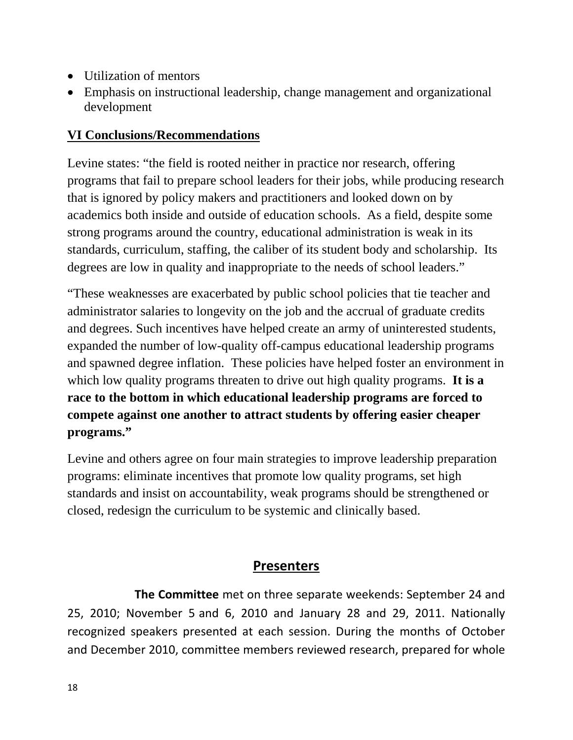- Utilization of mentors
- Emphasis on instructional leadership, change management and organizational development

### **VI Conclusions/Recommendations**

Levine states: "the field is rooted neither in practice nor research, offering programs that fail to prepare school leaders for their jobs, while producing research that is ignored by policy makers and practitioners and looked down on by academics both inside and outside of education schools. As a field, despite some strong programs around the country, educational administration is weak in its standards, curriculum, staffing, the caliber of its student body and scholarship. Its degrees are low in quality and inappropriate to the needs of school leaders."

"These weaknesses are exacerbated by public school policies that tie teacher and administrator salaries to longevity on the job and the accrual of graduate credits and degrees. Such incentives have helped create an army of uninterested students, expanded the number of low-quality off-campus educational leadership programs and spawned degree inflation. These policies have helped foster an environment in which low quality programs threaten to drive out high quality programs. **It is a race to the bottom in which educational leadership programs are forced to compete against one another to attract students by offering easier cheaper programs."** 

Levine and others agree on four main strategies to improve leadership preparation programs: eliminate incentives that promote low quality programs, set high standards and insist on accountability, weak programs should be strengthened or closed, redesign the curriculum to be systemic and clinically based.

# **Presenters**

 **The Committee** met on three separate weekends: September 24 and 25, 2010; November 5 and 6, 2010 and January 28 and 29, 2011. Nationally recognized speakers presented at each session. During the months of October and December 2010, committee members reviewed research, prepared for whole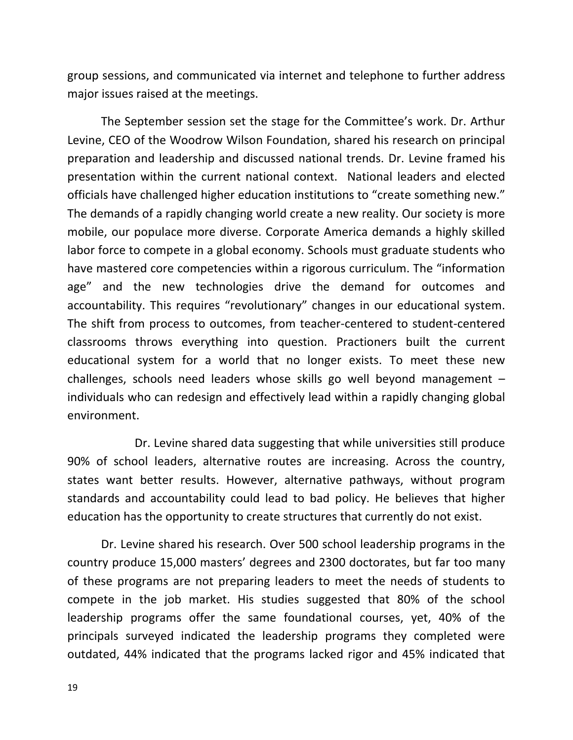group sessions, and communicated via internet and telephone to further address major issues raised at the meetings.

The September session set the stage for the Committee's work. Dr. Arthur Levine, CEO of the Woodrow Wilson Foundation, shared his research on principal preparation and leadership and discussed national trends. Dr. Levine framed his presentation within the current national context. National leaders and elected officials have challenged higher education institutions to "create something new." The demands of a rapidly changing world create a new reality. Our society is more mobile, our populace more diverse. Corporate America demands a highly skilled labor force to compete in a global economy. Schools must graduate students who have mastered core competencies within a rigorous curriculum. The "information age" and the new technologies drive the demand for outcomes and accountability. This requires "revolutionary" changes in our educational system. The shift from process to outcomes, from teacher‐centered to student‐centered classrooms throws everything into question. Practioners built the current educational system for a world that no longer exists. To meet these new challenges, schools need leaders whose skills go well beyond management – individuals who can redesign and effectively lead within a rapidly changing global environment.

 Dr. Levine shared data suggesting that while universities still produce 90% of school leaders, alternative routes are increasing. Across the country, states want better results. However, alternative pathways, without program standards and accountability could lead to bad policy. He believes that higher education has the opportunity to create structures that currently do not exist.

Dr. Levine shared his research. Over 500 school leadership programs in the country produce 15,000 masters' degrees and 2300 doctorates, but far too many of these programs are not preparing leaders to meet the needs of students to compete in the job market. His studies suggested that 80% of the school leadership programs offer the same foundational courses, yet, 40% of the principals surveyed indicated the leadership programs they completed were outdated, 44% indicated that the programs lacked rigor and 45% indicated that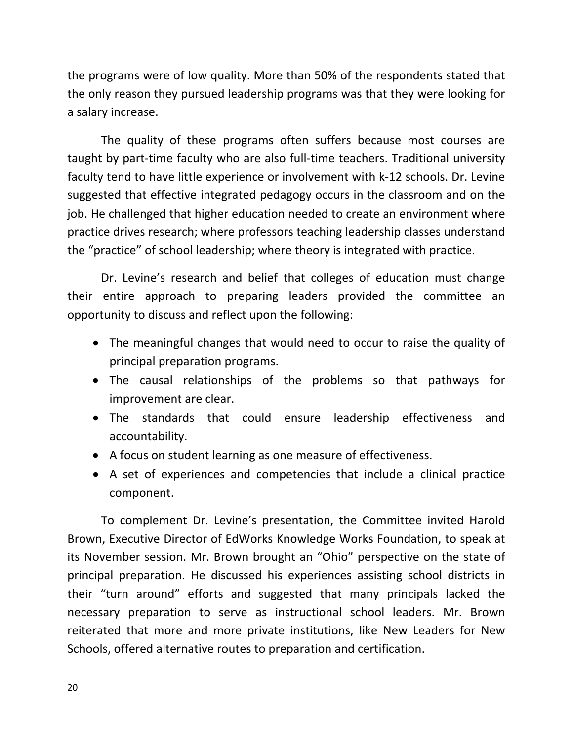the programs were of low quality. More than 50% of the respondents stated that the only reason they pursued leadership programs was that they were looking for a salary increase.

The quality of these programs often suffers because most courses are taught by part‐time faculty who are also full‐time teachers. Traditional university faculty tend to have little experience or involvement with k‐12 schools. Dr. Levine suggested that effective integrated pedagogy occurs in the classroom and on the job. He challenged that higher education needed to create an environment where practice drives research; where professors teaching leadership classes understand the "practice" of school leadership; where theory is integrated with practice.

Dr. Levine's research and belief that colleges of education must change their entire approach to preparing leaders provided the committee an opportunity to discuss and reflect upon the following:

- The meaningful changes that would need to occur to raise the quality of principal preparation programs.
- The causal relationships of the problems so that pathways for improvement are clear.
- The standards that could ensure leadership effectiveness and accountability.
- A focus on student learning as one measure of effectiveness.
- A set of experiences and competencies that include a clinical practice component.

To complement Dr. Levine's presentation, the Committee invited Harold Brown, Executive Director of EdWorks Knowledge Works Foundation, to speak at its November session. Mr. Brown brought an "Ohio" perspective on the state of principal preparation. He discussed his experiences assisting school districts in their "turn around" efforts and suggested that many principals lacked the necessary preparation to serve as instructional school leaders. Mr. Brown reiterated that more and more private institutions, like New Leaders for New Schools, offered alternative routes to preparation and certification.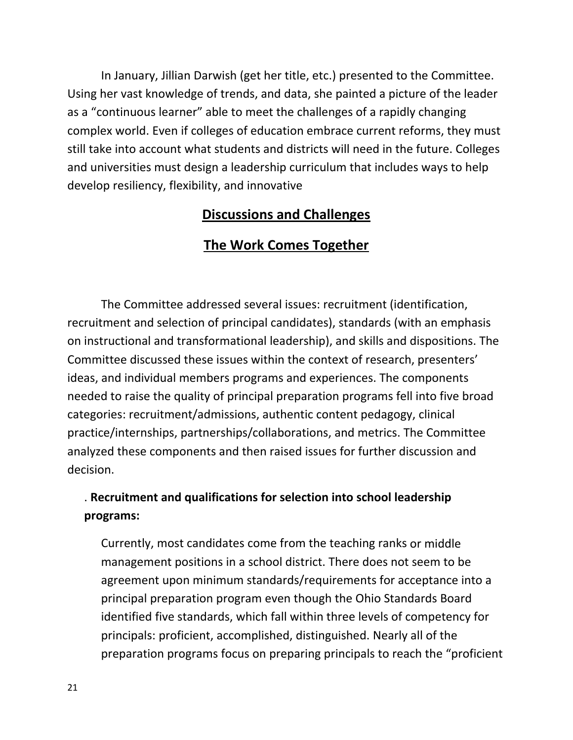In January, Jillian Darwish (get her title, etc.) presented to the Committee. Using her vast knowledge of trends, and data, she painted a picture of the leader as a "continuous learner" able to meet the challenges of a rapidly changing complex world. Even if colleges of education embrace current reforms, they must still take into account what students and districts will need in the future. Colleges and universities must design a leadership curriculum that includes ways to help develop resiliency, flexibility, and innovative

### **Discussions and Challenges**

# **The Work Comes Together**

The Committee addressed several issues: recruitment (identification, recruitment and selection of principal candidates), standards (with an emphasis on instructional and transformational leadership), and skills and dispositions. The Committee discussed these issues within the context of research, presenters' ideas, and individual members programs and experiences. The components needed to raise the quality of principal preparation programs fell into five broad categories: recruitment/admissions, authentic content pedagogy, clinical practice/internships, partnerships/collaborations, and metrics. The Committee analyzed these components and then raised issues for further discussion and decision.

# . **Recruitment and qualifications for selection into school leadership programs:**

Currently, most candidates come from the teaching ranks or middle management positions in a school district. There does not seem to be agreement upon minimum standards/requirements for acceptance into a principal preparation program even though the Ohio Standards Board identified five standards, which fall within three levels of competency for principals: proficient, accomplished, distinguished. Nearly all of the preparation programs focus on preparing principals to reach the "proficient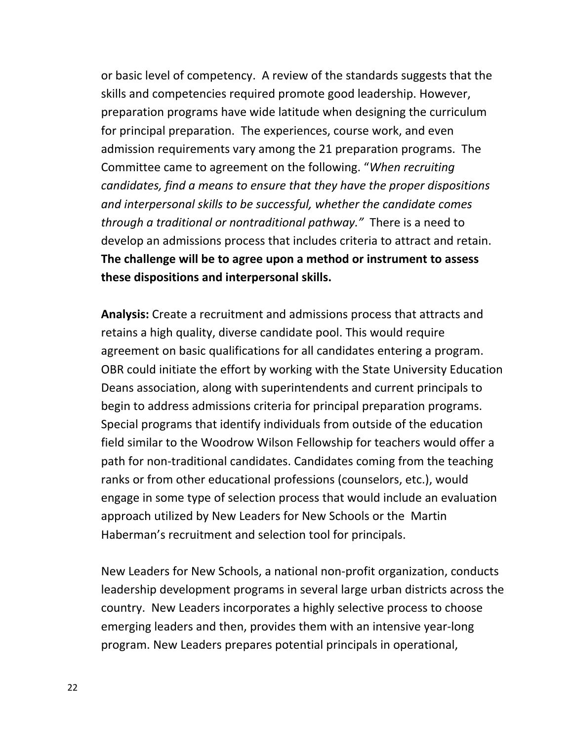or basic level of competency. A review of the standards suggests that the skills and competencies required promote good leadership. However, preparation programs have wide latitude when designing the curriculum for principal preparation. The experiences, course work, and even admission requirements vary among the 21 preparation programs. The Committee came to agreement on the following. "*When recruiting candidates, find a means to ensure that they have the proper dispositions and interpersonal skills to be successful, whether the candidate comes through a traditional or nontraditional pathway."* There is a need to develop an admissions process that includes criteria to attract and retain. **The challenge will be to agree upon a method or instrument to assess these dispositions and interpersonal skills.** 

**Analysis:** Create a recruitment and admissions process that attracts and retains a high quality, diverse candidate pool. This would require agreement on basic qualifications for all candidates entering a program. OBR could initiate the effort by working with the State University Education Deans association, along with superintendents and current principals to begin to address admissions criteria for principal preparation programs. Special programs that identify individuals from outside of the education field similar to the Woodrow Wilson Fellowship for teachers would offer a path for non‐traditional candidates. Candidates coming from the teaching ranks or from other educational professions (counselors, etc.), would engage in some type of selection process that would include an evaluation approach utilized by New Leaders for New Schools or the Martin Haberman's recruitment and selection tool for principals.

New Leaders for New Schools, a national non‐profit organization, conducts leadership development programs in several large urban districts across the country. New Leaders incorporates a highly selective process to choose emerging leaders and then, provides them with an intensive year‐long program. New Leaders prepares potential principals in operational,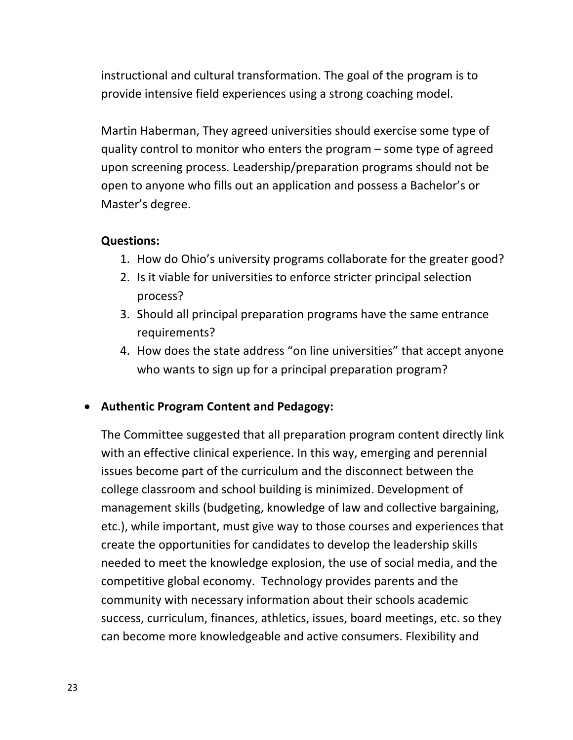instructional and cultural transformation. The goal of the program is to provide intensive field experiences using a strong coaching model.

Martin Haberman, They agreed universities should exercise some type of quality control to monitor who enters the program – some type of agreed upon screening process. Leadership/preparation programs should not be open to anyone who fills out an application and possess a Bachelor's or Master's degree.

#### **Questions:**

- 1. How do Ohio's university programs collaborate for the greater good?
- 2. Is it viable for universities to enforce stricter principal selection process?
- 3. Should all principal preparation programs have the same entrance requirements?
- 4. How does the state address "on line universities" that accept anyone who wants to sign up for a principal preparation program?

### • **Authentic Program Content and Pedagogy:**

The Committee suggested that all preparation program content directly link with an effective clinical experience. In this way, emerging and perennial issues become part of the curriculum and the disconnect between the college classroom and school building is minimized. Development of management skills (budgeting, knowledge of law and collective bargaining, etc.), while important, must give way to those courses and experiences that create the opportunities for candidates to develop the leadership skills needed to meet the knowledge explosion, the use of social media, and the competitive global economy. Technology provides parents and the community with necessary information about their schools academic success, curriculum, finances, athletics, issues, board meetings, etc. so they can become more knowledgeable and active consumers. Flexibility and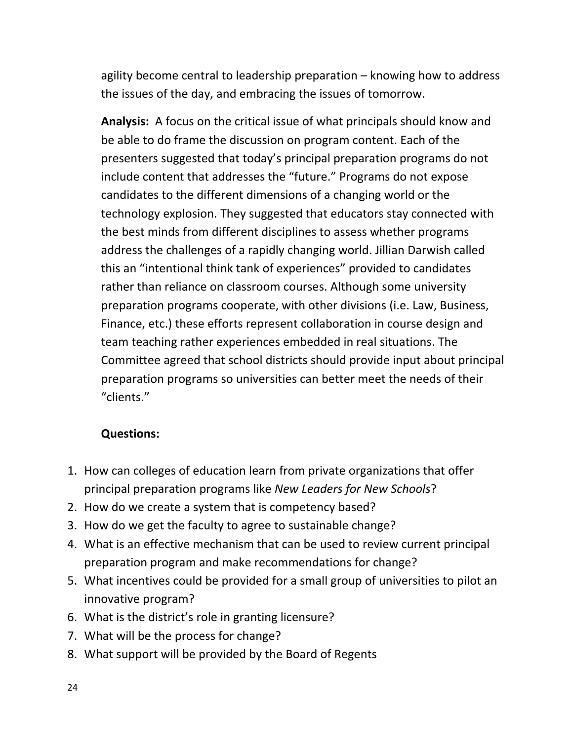agility become central to leadership preparation – knowing how to address the issues of the day, and embracing the issues of tomorrow.

Analysis: A focus on the critical issue of what principals should know and be able to do frame the discussion on program content. Each of the presenters suggested that today's principal preparation programs do not include content that addresses the "future." Programs do not expose candidates to the different dimensions of a changing world or the technology explosion. They suggested that educators stay connected with the best minds from different disciplines to assess whether programs address the challenges of a rapidly changing world. Jillian Darwish called this an "intentional think tank of experiences" provided to candidates rather than reliance on classroom courses. Although some university preparation programs cooperate, with other divisions (i.e. Law, Business, Finance, etc.) these efforts represent collaboration in course design and team teaching rather experiences embedded in real situations. The Committee agreed that school districts should provide input about principal preparation programs so universities can better meet the needs of their "clients."

### **Questions:**

- 1. How can colleges of education learn from private organizations that offer principal preparation programs like *New Leaders for New Schools*?
- 2. How do we create a system that is competency based?
- 3. How do we get the faculty to agree to sustainable change?
- 4. What is an effective mechanism that can be used to review current principal preparation program and make recommendations for change?
- 5. What incentives could be provided for a small group of universities to pilot an innovative program?
- 6. What is the district's role in granting licensure?
- 7. What will be the process for change?
- 8. What support will be provided by the Board of Regents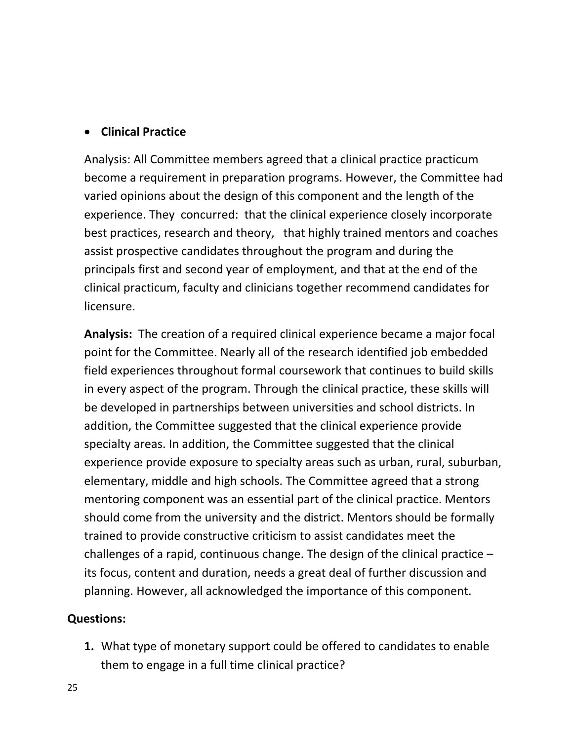#### • **Clinical Practice**

Analysis: All Committee members agreed that a clinical practice practicum become a requirement in preparation programs. However, the Committee had varied opinions about the design of this component and the length of the experience. They concurred: that the clinical experience closely incorporate best practices, research and theory, that highly trained mentors and coaches assist prospective candidates throughout the program and during the principals first and second year of employment, and that at the end of the clinical practicum, faculty and clinicians together recommend candidates for licensure.

Analysis: The creation of a required clinical experience became a major focal point for the Committee. Nearly all of the research identified job embedded field experiences throughout formal coursework that continues to build skills in every aspect of the program. Through the clinical practice, these skills will be developed in partnerships between universities and school districts. In addition, the Committee suggested that the clinical experience provide specialty areas. In addition, the Committee suggested that the clinical experience provide exposure to specialty areas such as urban, rural, suburban, elementary, middle and high schools. The Committee agreed that a strong mentoring component was an essential part of the clinical practice. Mentors should come from the university and the district. Mentors should be formally trained to provide constructive criticism to assist candidates meet the challenges of a rapid, continuous change. The design of the clinical practice – its focus, content and duration, needs a great deal of further discussion and planning. However, all acknowledged the importance of this component.

#### **Questions:**

**1.** What type of monetary support could be offered to candidates to enable them to engage in a full time clinical practice?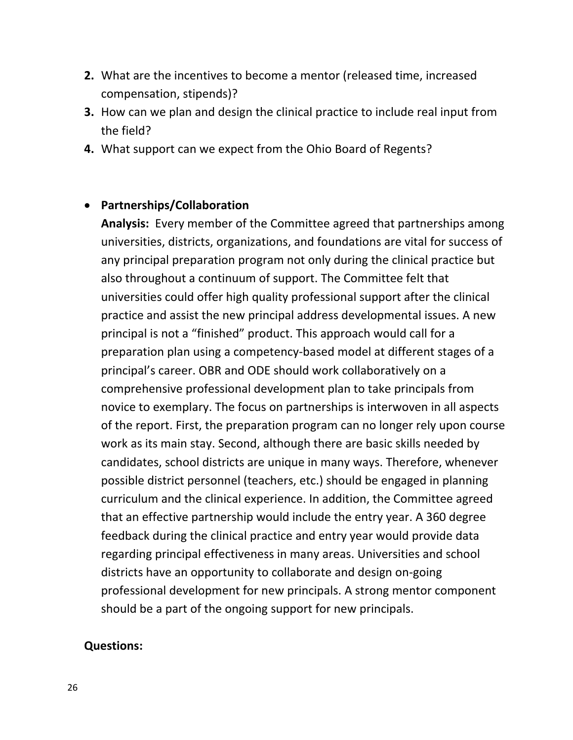- **2.** What are the incentives to become a mentor (released time, increased compensation, stipends)?
- **3.** How can we plan and design the clinical practice to include real input from the field?
- **4.** What support can we expect from the Ohio Board of Regents?

#### • **Partnerships/Collaboration**

Analysis: Every member of the Committee agreed that partnerships among universities, districts, organizations, and foundations are vital for success of any principal preparation program not only during the clinical practice but also throughout a continuum of support. The Committee felt that universities could offer high quality professional support after the clinical practice and assist the new principal address developmental issues. A new principal is not a "finished" product. This approach would call for a preparation plan using a competency‐based model at different stages of a principal's career. OBR and ODE should work collaboratively on a comprehensive professional development plan to take principals from novice to exemplary. The focus on partnerships is interwoven in all aspects of the report. First, the preparation program can no longer rely upon course work as its main stay. Second, although there are basic skills needed by candidates, school districts are unique in many ways. Therefore, whenever possible district personnel (teachers, etc.) should be engaged in planning curriculum and the clinical experience. In addition, the Committee agreed that an effective partnership would include the entry year. A 360 degree feedback during the clinical practice and entry year would provide data regarding principal effectiveness in many areas. Universities and school districts have an opportunity to collaborate and design on‐going professional development for new principals. A strong mentor component should be a part of the ongoing support for new principals.

#### **Questions:**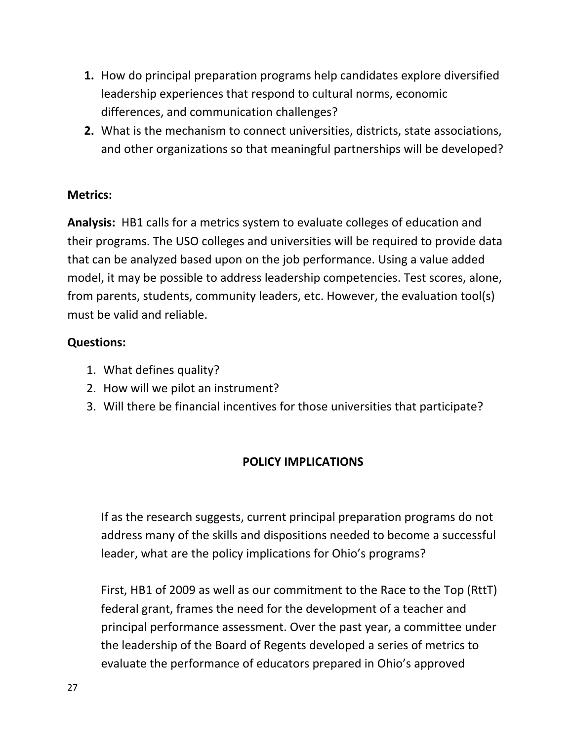- **1.** How do principal preparation programs help candidates explore diversified leadership experiences that respond to cultural norms, economic differences, and communication challenges?
- **2.** What is the mechanism to connect universities, districts, state associations, and other organizations so that meaningful partnerships will be developed?

#### **Metrics:**

Analysis: HB1 calls for a metrics system to evaluate colleges of education and their programs. The USO colleges and universities will be required to provide data that can be analyzed based upon on the job performance. Using a value added model, it may be possible to address leadership competencies. Test scores, alone, from parents, students, community leaders, etc. However, the evaluation tool(s) must be valid and reliable.

### **Questions:**

- 1. What defines quality?
- 2. How will we pilot an instrument?
- 3. Will there be financial incentives for those universities that participate?

### **POLICY IMPLICATIONS**

If as the research suggests, current principal preparation programs do not address many of the skills and dispositions needed to become a successful leader, what are the policy implications for Ohio's programs?

First, HB1 of 2009 as well as our commitment to the Race to the Top (RttT) federal grant, frames the need for the development of a teacher and principal performance assessment. Over the past year, a committee under the leadership of the Board of Regents developed a series of metrics to evaluate the performance of educators prepared in Ohio's approved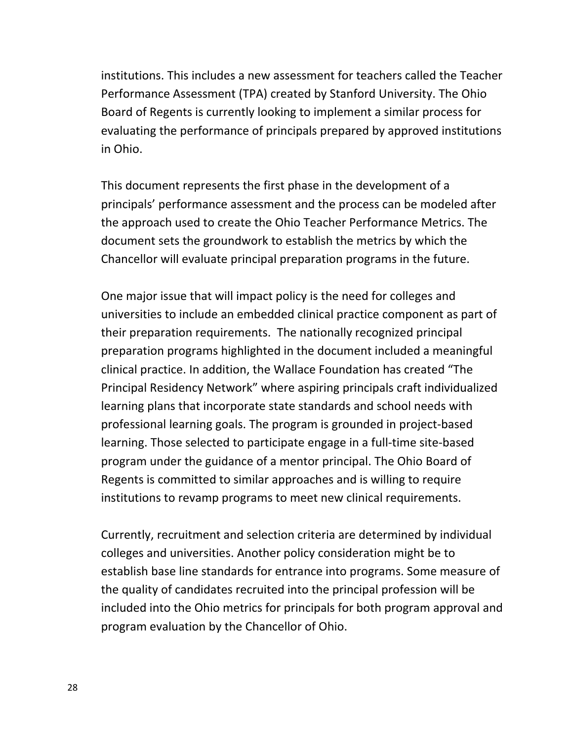institutions. This includes a new assessment for teachers called the Teacher Performance Assessment (TPA) created by Stanford University. The Ohio Board of Regents is currently looking to implement a similar process for evaluating the performance of principals prepared by approved institutions in Ohio.

This document represents the first phase in the development of a principals' performance assessment and the process can be modeled after the approach used to create the Ohio Teacher Performance Metrics. The document sets the groundwork to establish the metrics by which the Chancellor will evaluate principal preparation programs in the future.

One major issue that will impact policy is the need for colleges and universities to include an embedded clinical practice component as part of their preparation requirements. The nationally recognized principal preparation programs highlighted in the document included a meaningful clinical practice. In addition, the Wallace Foundation has created "The Principal Residency Network" where aspiring principals craft individualized learning plans that incorporate state standards and school needs with professional learning goals. The program is grounded in project‐based learning. Those selected to participate engage in a full‐time site‐based program under the guidance of a mentor principal. The Ohio Board of Regents is committed to similar approaches and is willing to require institutions to revamp programs to meet new clinical requirements.

Currently, recruitment and selection criteria are determined by individual colleges and universities. Another policy consideration might be to establish base line standards for entrance into programs. Some measure of the quality of candidates recruited into the principal profession will be included into the Ohio metrics for principals for both program approval and program evaluation by the Chancellor of Ohio.